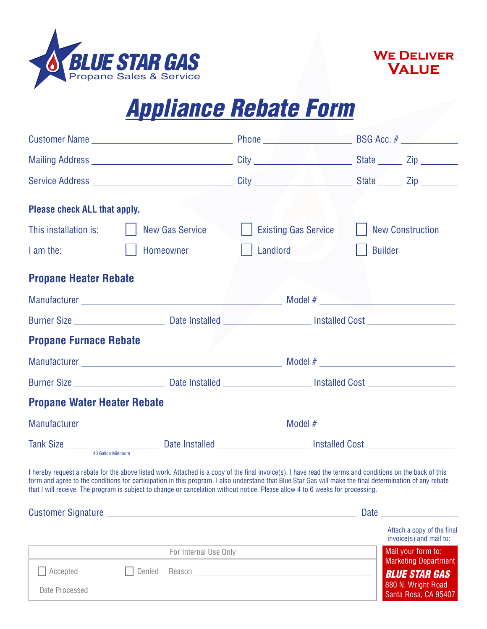

Date Processed



Santa Rosa, CA 95407

## *Appliance Rebate Form*

| <b>Please check ALL that apply.</b> |                                                                                                                                                                                                                                                                                                                                                                                                                                                         |                                                                                                                                                                                                                                |                                                                                                                                                                                                                                |
|-------------------------------------|---------------------------------------------------------------------------------------------------------------------------------------------------------------------------------------------------------------------------------------------------------------------------------------------------------------------------------------------------------------------------------------------------------------------------------------------------------|--------------------------------------------------------------------------------------------------------------------------------------------------------------------------------------------------------------------------------|--------------------------------------------------------------------------------------------------------------------------------------------------------------------------------------------------------------------------------|
| This installation is:               | <b>New Gas Service</b>                                                                                                                                                                                                                                                                                                                                                                                                                                  | <b>Existing Gas Service</b>                                                                                                                                                                                                    | <b>New Construction</b>                                                                                                                                                                                                        |
| I am the:                           | Homeowner                                                                                                                                                                                                                                                                                                                                                                                                                                               | Landlord                                                                                                                                                                                                                       | <b>Builder</b>                                                                                                                                                                                                                 |
| <b>Propane Heater Rebate</b>        |                                                                                                                                                                                                                                                                                                                                                                                                                                                         |                                                                                                                                                                                                                                |                                                                                                                                                                                                                                |
|                                     |                                                                                                                                                                                                                                                                                                                                                                                                                                                         |                                                                                                                                                                                                                                |                                                                                                                                                                                                                                |
|                                     |                                                                                                                                                                                                                                                                                                                                                                                                                                                         |                                                                                                                                                                                                                                |                                                                                                                                                                                                                                |
| <b>Propane Furnace Rebate</b>       |                                                                                                                                                                                                                                                                                                                                                                                                                                                         |                                                                                                                                                                                                                                |                                                                                                                                                                                                                                |
|                                     |                                                                                                                                                                                                                                                                                                                                                                                                                                                         |                                                                                                                                                                                                                                |                                                                                                                                                                                                                                |
|                                     |                                                                                                                                                                                                                                                                                                                                                                                                                                                         |                                                                                                                                                                                                                                |                                                                                                                                                                                                                                |
| <b>Propane Water Heater Rebate</b>  |                                                                                                                                                                                                                                                                                                                                                                                                                                                         |                                                                                                                                                                                                                                |                                                                                                                                                                                                                                |
|                                     |                                                                                                                                                                                                                                                                                                                                                                                                                                                         |                                                                                                                                                                                                                                |                                                                                                                                                                                                                                |
|                                     |                                                                                                                                                                                                                                                                                                                                                                                                                                                         |                                                                                                                                                                                                                                |                                                                                                                                                                                                                                |
|                                     | I hereby request a rebate for the above listed work. Attached is a copy of the final invoice(s). I have read the terms and conditions on the back of this<br>form and agree to the conditions for participation in this program. I also understand that Blue Star Gas will make the final determination of any rebate<br>that I will receive. The program is subject to change or cancelation without notice. Please allow 4 to 6 weeks for processing. |                                                                                                                                                                                                                                |                                                                                                                                                                                                                                |
|                                     |                                                                                                                                                                                                                                                                                                                                                                                                                                                         |                                                                                                                                                                                                                                | Date and the state of the state of the state of the state of the state of the state of the state of the state of the state of the state of the state of the state of the state of the state of the state of the state of the s |
|                                     |                                                                                                                                                                                                                                                                                                                                                                                                                                                         |                                                                                                                                                                                                                                | Attach a copy of the final<br>invoice(s) and mail to:                                                                                                                                                                          |
|                                     | For Internal Use Only                                                                                                                                                                                                                                                                                                                                                                                                                                   |                                                                                                                                                                                                                                | Mail your form to:<br><b>Marketing Department</b>                                                                                                                                                                              |
| Accepted                            | Denied                                                                                                                                                                                                                                                                                                                                                                                                                                                  | Reason experience and the contract of the contract of the contract of the contract of the contract of the contract of the contract of the contract of the contract of the contract of the contract of the contract of the cont | <b>BLUE STAR GAS</b><br>880 N. Wright Road                                                                                                                                                                                     |